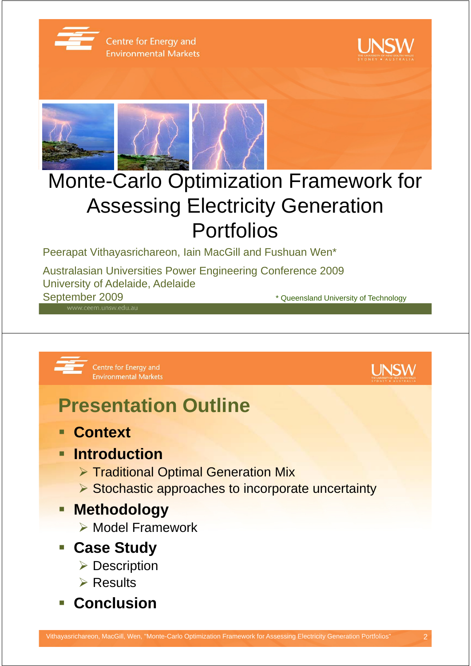

Centre for Energy and **Environmental Markets** 





# Monte-Carlo Optimization Framework for **Assessing Electricity Generation** Portfolios

Peerapat Vithayasrichareon, Iain MacGill and Fushuan Wen\*

Australasian Universities Power Engineering Conference 2009 University of Adelaide, Adelaide September 2009 **September 2009 \*** Queensland University of Technology

Centre for Energy and **Environmental Markets** 



#### **Presentation Outline**

**Context**

#### **Introduction**

- ¾ Traditional Optimal Generation Mix
- ¾ Stochastic approaches to incorporate uncertainty

#### **Methodology**

- ¾ Model Framework
- **Case Study**
	- **▶ Description**
	- $\triangleright$  Results
- **Conclusion**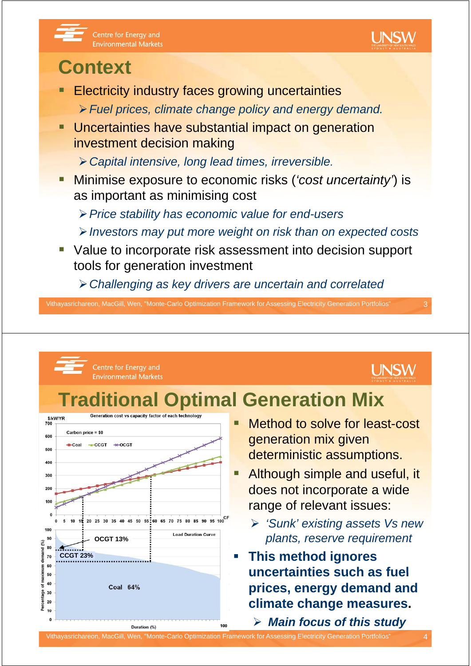



#### **Context**

- **Electricity industry faces growing uncertainties** 
	- ¾*Fuel prices, climate change policy and energy demand.*
- Uncertainties have substantial impact on generation investment decision making
	- **≻ Capital intensive, long lead times, irreversible.**
- Minimise exposure to economic risks (*'cost uncertainty'*) is as important as minimising cost
	- ¾*Price stability has economic value for end-users*
	- ¾*Investors may put more weight on risk than on expected costs*
- Value to incorporate risk assessment into decision support tools for generation investment
	- ¾*Challenging as key drivers are uncertain and correlated*

Vithayasrichareon, MacGill, Wen, "Monte-Carlo Optimization Framework for Assessing Electricity Generation Portfolios" 3

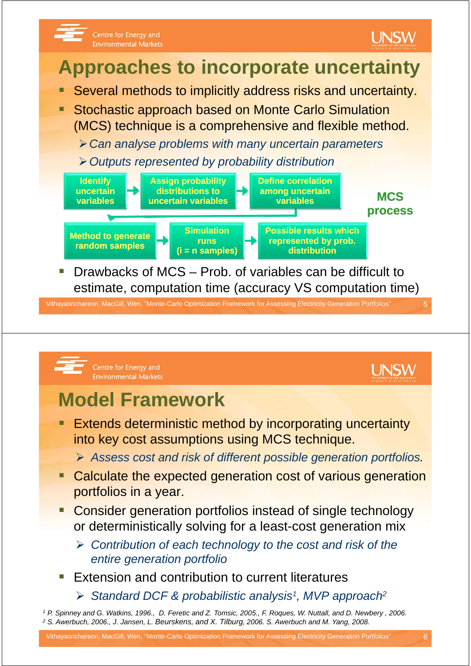



**Environmental Markets** 

- **Extends deterministic method by incorporating uncertainty<br>into key cost assumptions using MCS technique.** 
	- **▶ Assess cost and risk of different possible generation portfolios.**
- Calculate the expected generation cost of various generation portfolios in a year.
- Consider generation portfolios instead of single technology or deterministically solving for a least-cost generation mix
	- ¾ *Contribution of each technology to the cost and risk of the entire generation portfolio*
- Extension and contribution to current literatures
	- ¾ *Standard DCF & probabilistic analysis1, MVP approach2*

*<sup>1</sup> P. Spinney and G. Watkins, 1996., D. Feretic and Z. Tomsic, 2005., F. Roques, W. Nuttall, and D. Newbery , 2006. <sup>2</sup> S. Awerbuch, 2006., J. Jansen, L. Beurskens, and X. Tilburg, 2006. S. Awerbuch and M. Yang, 2008.*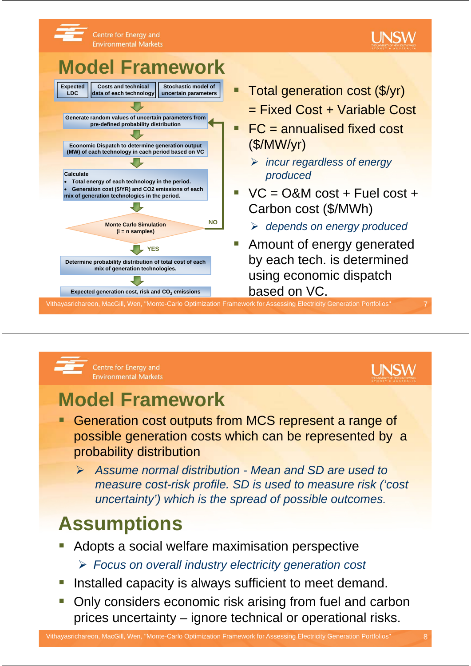



Centre for Energy and **Environmental Markets** 



#### **Model Framework**

- Generation cost outputs from MCS represent a range of possible generation costs which can be represented by a probability distribution
	- ¾ *Assume normal distribution Mean and SD are used to measure cost-risk profile. SD is used to measure risk ('cost uncertainty uncertainty )' which is the spread of possible outcomes which is the spread of possible outcomes.*

### **Assumptions**

- Adopts a social welfare maximisation perspective ¾ *Focus on overall industry electricity generation cost*
- Installed capacity is always sufficient to meet demand.
- Only considers economic risk arising from fuel and carbon prices uncertainty – ignore technical or operational risks.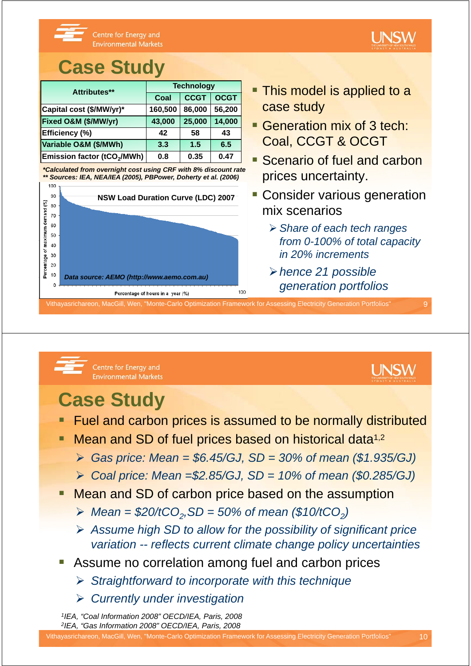

#### **Case Study**

| Attributes**                                 | <b>Technology</b> |             |             | • This model is applied to a                              |
|----------------------------------------------|-------------------|-------------|-------------|-----------------------------------------------------------|
|                                              | Coal              | <b>CCGT</b> | <b>OCGT</b> |                                                           |
| Capital cost (\$/MW/yr)*                     | 160,500           | 86,000      | 56,200      | case study                                                |
| Fixed O&M (\$/MW/yr)                         | 43,000            | 25,000      | 14,000      | Generation mix of 3 tech:<br><b>Coal, CCGT &amp; OCGT</b> |
| Efficiency (%)                               | 42                | 58          | 43          |                                                           |
| Variable O&M (\$/MWh)                        | 3.3               | 1.5         | 6.5         |                                                           |
| <b>Emission factor (tCO<sub>2</sub>/MWh)</b> | 0.8               | 0.35        | 0.47        | <b>Brenario of fuel and carb</b>                          |

*\*Calculated from overnight cost using CRF with 8% discount rate \*\* Sources: IEA, NEA/IEA (2005), PBPower, Doherty et al. (2006)*



- **This model is applied to a** case study
- Coal, CCGT & OCGT
- **Scenario of fuel and carbon** prices uncertainty.
- **NSW Load Duration Curve (LDC) 2007 | CONSider Various generation** mix scenarios
	- ¾ *Share of each tech ranges from 0-100% of total capacity % of total in 20% increments*
	- *generation portfolios*

Vithayasrichareon, MacGill, Wen, "Monte-Carlo Optimization Framework for Assessing Electricity Generation Portfolios" 9



Centre for Energy and **Environmental Markets** 

#### l INSW

### **Case Study**

- Fuel and carbon prices is assumed to be normally distributed
	- Mean and SD of fuel prices based on historical data<sup>1,2</sup>
		- $\triangleright$  *Gas price: Mean = \$6.45/GJ, SD = 30% of mean (\$1.935/GJ)*
		- ¾ *Coal price: Mean =\$2.85/GJ, SD = 10% of mean (\$0.285/GJ)*
- Mean and SD of carbon price based on the assumption
	- → *Mean* =  $$20/tCO<sub>2</sub>, SD = 50%$  of mean (\$10/tCO<sub>2</sub>)
	- **≻** Assume high SD to allow for the possibility of significant price *variation -- reflects current climate change policy uncertainties*
- Assume no correlation among fuel and carbon prices
	- ¾ *Straightforward to incorporate with this technique*
	- ¾ *Currently under investigation*

*1IEA, "Coal Information 2008" OECD/IEA, Paris, 2008 2IEA, "Gas Information 2008" OECD/IEA, Paris, 2008*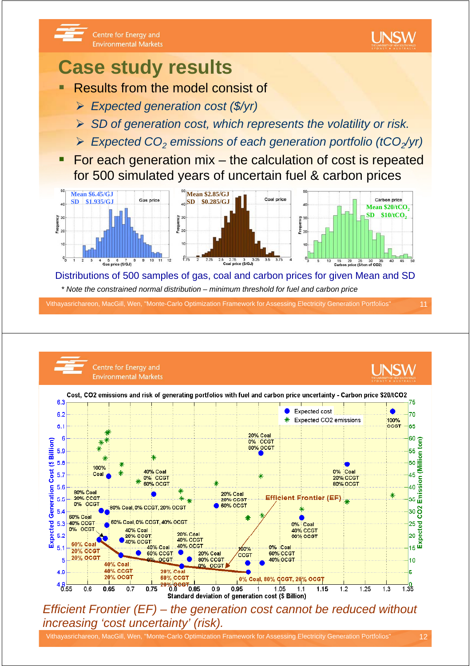

#### **Case study results**

- Results from the model consist of
	- ¾ *Expected generation cost (\$/yr)*
	- **► SD of generation cost, which represents the volatility or risk.**
	- ¾ *Expected CO2 emissions of each generation portfolio (tCO2/yr)*
- For each generation mix the calculation of cost is repeated for 500 simulated years of uncertain fuel & carbon prices



Distributions of 500 samples of gas, coal and carbon prices for given Mean and SD *\* Note the constrained normal distribution – minimum threshold for fuel and carbon price*

Vithayasrichareon, MacGill, Wen, "Monte-Carlo Optimization Framework for Assessing Electricity Generation Portfolios" 11



*Efficient Frontier (EF) the generation cost cannot be reduced without Efficient Frontier – the generation cost cannot be reduced increasing 'cost uncertainty' (risk).*

Vithayasrichareon, MacGill, Wen, "Monte-Carlo Optimization Framework for Assessing Electricity Generation Portfolios" 12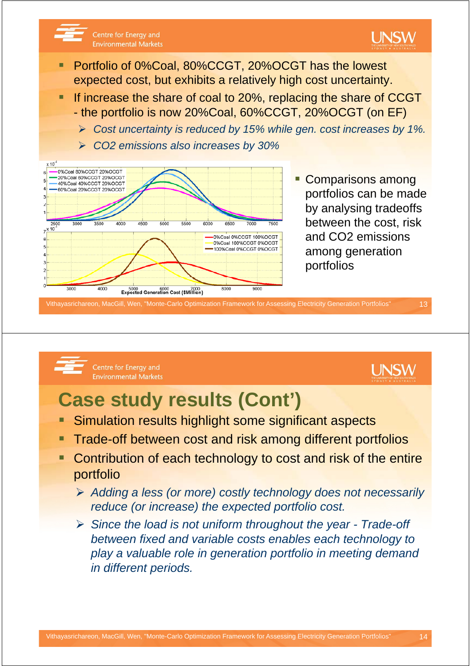

Vithayasrichareon, MacGill, Wen, "Monte-Carlo Optimization Framework for Assessing Electricity Generation Portfolios" 13

#### Centre for Energy and **Environmental Markets**



### **Case study results (Cont')**

- Simulation results highlight some significant aspects
- Trade-off between cost and risk among different portfolios
- Contribution of each technology to cost and risk of the entire portfolio
	- ¾ *Adding a less (or more) costly technology does not necessarily reduce (or increase) the expected portfolio cost.*
	- ¾ *Since the load is not uniform throughout the year Trade-off b t fi d d i bl t bl h t h l t between fixed and variable costs enables each technology to play a valuable role in generation portfolio in meeting demand in different periods.*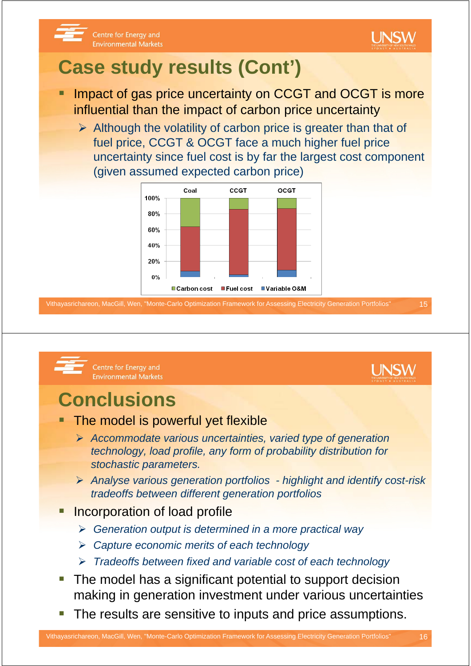

l INSW

#### Centre for Energy and **Environmental Markets**

# **Case study results (Cont')**

- Impact of gas price uncertainty on CCGT and OCGT is more influential than the impact of carbon price uncertainty
	- $\triangleright$  Although the volatility of carbon price is greater than that of fuel price, CCGT & OCGT face a much higher fuel price uncertainty since fuel cost is by far the largest cost component (given assumed expected carbon price)



Vithayasrichareon, MacGill, Wen, "Monte-Carlo Optimization Framework for Assessing Electricity Generation Portfolios" 15



Centre for Energy and **Environmental Markets** 

# **Conclusions**

- The model is powerful yet flexible
	- ¾ *Accommodate various uncertainties, varied type of generation technology, load profile, any form of probability distribution for stochastic parameters stochastic parameters.*
	- ¾ *Analyse various generation portfolios highlight and identify cost-risk tradeoffs between different generation portfolios*
- Incorporation of load profile
	- ¾ *Generation output is determined in a more practical way*
	- ¾ *Capture economic merits of each technology*
	- ¾ *Tradeoffs between fixed and variable cost of each technology*
- The model has a significant potential to support decision making in generation investment under various uncertainties
- The results are sensitive to inputs and price assumptions.